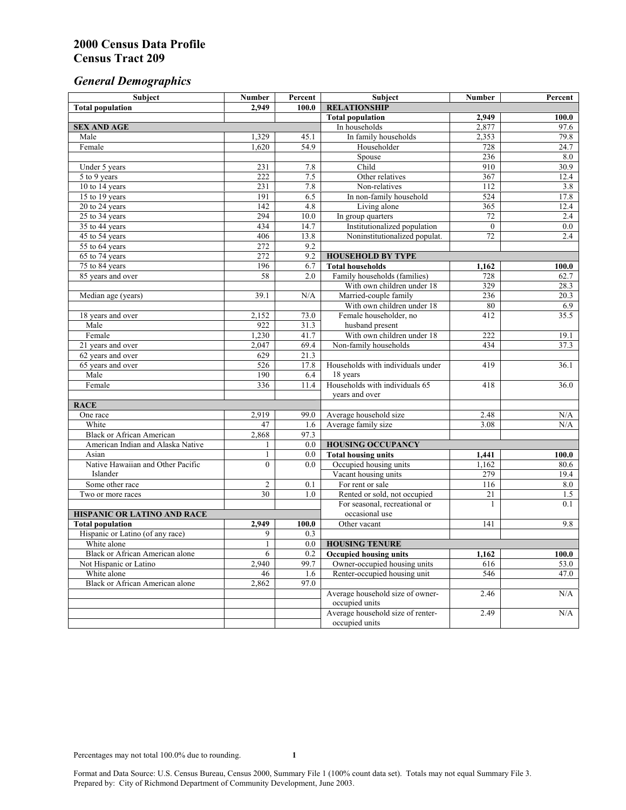# *General Demographics*

| Subject                                                     | <b>Number</b>           | Percent     | Subject                                                       | Number       | Percent       |
|-------------------------------------------------------------|-------------------------|-------------|---------------------------------------------------------------|--------------|---------------|
| <b>Total population</b>                                     | 2.949                   | 100.0       | <b>RELATIONSHIP</b>                                           |              |               |
|                                                             |                         |             | <b>Total population</b>                                       | 2,949        | 100.0         |
| <b>SEX AND AGE</b>                                          |                         |             | In households                                                 | 2,877        | 97.6          |
| Male                                                        | 1,329                   | 45.1        | In family households                                          | 2,353        | 79.8          |
| Female                                                      | 1,620                   | 54.9        | Householder                                                   | 728          | 24.7          |
|                                                             |                         |             | Spouse                                                        | 236          | 8.0           |
| Under 5 years                                               | 231<br>$\overline{222}$ | 7.8<br>7.5  | Child                                                         | 910          | 30.9          |
| 5 to 9 years                                                | 231                     | 7.8         | Other relatives<br>Non-relatives                              | 367<br>112   | 12.4          |
| 10 to 14 years<br>15 to 19 years                            | 191                     | 6.5         | In non-family household                                       | 524          | 3.8<br>17.8   |
| 20 to 24 years                                              | $\overline{142}$        | 4.8         | Living alone                                                  | 365          | 12.4          |
| $25$ to $34$ years                                          | 294                     | 10.0        | In group quarters                                             | 72           | 2.4           |
| 35 to 44 years                                              | 434                     | 14.7        | Institutionalized population                                  | $\mathbf{0}$ | 0.0           |
| 45 to 54 years                                              | 406                     | 13.8        | Noninstitutionalized populat.                                 | 72           | 2.4           |
| 55 to 64 years                                              | 272                     | 9.2         |                                                               |              |               |
| 65 to 74 years                                              | 272                     | 9.2         | <b>HOUSEHOLD BY TYPE</b>                                      |              |               |
| 75 to 84 years                                              | 196                     | 6.7         | <b>Total households</b>                                       | 1,162        | 100.0         |
| 85 years and over                                           | 58                      | 2.0         | Family households (families)                                  | 728          | 62.7          |
|                                                             |                         |             | With own children under 18                                    | 329          | 28.3          |
| Median age (years)                                          | 39.1                    | N/A         | Married-couple family                                         | 236          | 20.3          |
|                                                             |                         |             | With own children under 18                                    | 80           | 6.9           |
| 18 years and over                                           | 2,152                   | 73.0        | Female householder, no                                        | 412          | 35.5          |
| Male                                                        | 922                     | 31.3        | husband present                                               |              |               |
| Female                                                      | 1,230                   | 41.7        | With own children under 18                                    | 222          | 19.1          |
| 21 years and over                                           | 2,047                   | 69.4        | Non-family households                                         | 434          | 37.3          |
| 62 years and over                                           | 629                     | 21.3        |                                                               |              |               |
| 65 years and over                                           | 526                     | 17.8        | Households with individuals under                             | 419          | 36.1          |
| Male                                                        | 190                     | 6.4         | 18 years                                                      |              |               |
| Female                                                      | 336                     | 11.4        | Households with individuals 65                                | 418          | 36.0          |
|                                                             |                         |             | years and over                                                |              |               |
| <b>RACE</b>                                                 |                         |             |                                                               |              |               |
| One race                                                    | 2,919                   | 99.0        | Average household size                                        | 2.48         | N/A           |
| White                                                       | 47                      | 1.6         | Average family size                                           | 3.08         | N/A           |
| <b>Black or African American</b>                            | 2,868                   | 97.3        |                                                               |              |               |
| American Indian and Alaska Native                           | 1                       | 0.0         | <b>HOUSING OCCUPANCY</b>                                      |              |               |
| Asian                                                       | 1                       | 0.0         | <b>Total housing units</b>                                    | 1,441        | 100.0         |
| Native Hawaiian and Other Pacific                           | $\theta$                | 0.0         | Occupied housing units                                        | 1,162        | 80.6          |
| Islander                                                    |                         |             | Vacant housing units                                          | 279          | 19.4          |
| Some other race                                             | $\overline{c}$          | 0.1         | For rent or sale                                              | 116          | $\ \ 8.0$     |
| Two or more races                                           | $\overline{30}$         | 1.0         | Rented or sold, not occupied                                  | 21           | 1.5           |
|                                                             |                         |             | For seasonal, recreational or                                 | 1            | 0.1           |
| HISPANIC OR LATINO AND RACE                                 |                         |             | occasional use                                                |              |               |
| <b>Total population</b><br>Hispanic or Latino (of any race) | 2,949                   | 100.0       | Other vacant                                                  | 141          | 9.8           |
| White alone                                                 | 9<br>$\mathbf{1}$       | 0.3<br>0.0  |                                                               |              |               |
| Black or African American alone                             |                         |             | <b>HOUSING TENURE</b>                                         |              |               |
| Not Hispanic or Latino                                      | 6<br>2,940              | 0.2<br>99.7 | <b>Occupied housing units</b><br>Owner-occupied housing units | 1,162<br>616 | 100.0<br>53.0 |
| White alone                                                 | 46                      | 1.6         | Renter-occupied housing unit                                  | 546          | 47.0          |
| <b>Black or African American alone</b>                      | 2,862                   | 97.0        |                                                               |              |               |
|                                                             |                         |             | Average household size of owner-                              | 2.46         | N/A           |
|                                                             |                         |             | occupied units                                                |              |               |
|                                                             |                         |             | Average household size of renter-                             | 2.49         | N/A           |
|                                                             |                         |             | occupied units                                                |              |               |
|                                                             |                         |             |                                                               |              |               |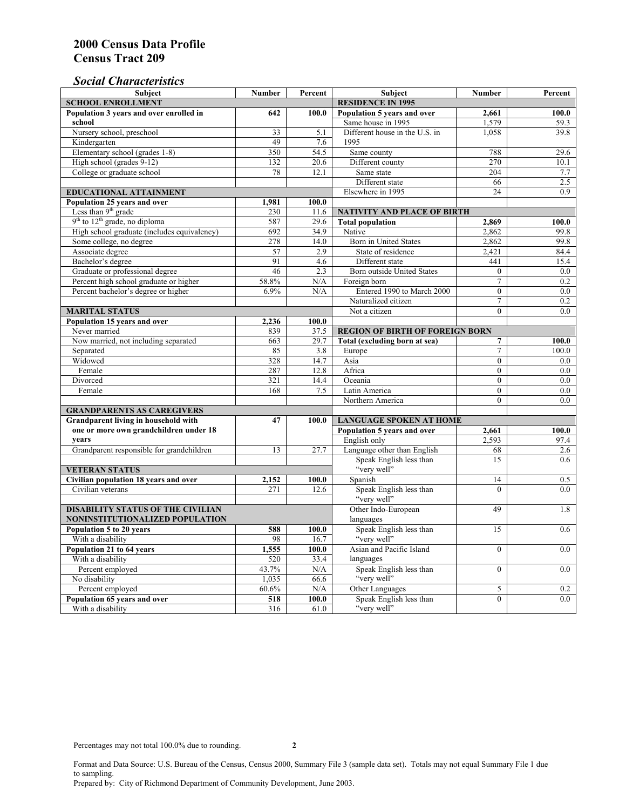### *Social Characteristics*

| <b>Subject</b>                              | <b>Number</b>            | Percent       | <b>Subject</b>                         | <b>Number</b>    | Percent |
|---------------------------------------------|--------------------------|---------------|----------------------------------------|------------------|---------|
| <b>SCHOOL ENROLLMENT</b>                    | <b>RESIDENCE IN 1995</b> |               |                                        |                  |         |
| Population 3 years and over enrolled in     | 642                      | 100.0         | Population 5 years and over            | 2,661            | 100.0   |
| school                                      |                          |               | Same house in 1995                     | 1,579            | 59.3    |
| Nursery school, preschool                   | 33                       | 5.1           | Different house in the U.S. in         | 1.058            | 39.8    |
| Kindergarten                                | 49                       | 7.6           | 1995                                   |                  |         |
| Elementary school (grades 1-8)              | 350                      | 54.5          | Same county                            | 788              | 29.6    |
| High school (grades 9-12)                   | 132                      | 20.6          | Different county                       | 270              | 10.1    |
| College or graduate school                  | 78                       | 12.1          | Same state                             | 204              | 7.7     |
|                                             |                          |               | Different state                        | 66               | 2.5     |
| <b>EDUCATIONAL ATTAINMENT</b>               | Elsewhere in 1995        | 24            | 0.9                                    |                  |         |
| Population 25 years and over                | 1,981                    | 100.0         |                                        |                  |         |
| Less than 9 <sup>th</sup> grade             | 230                      | 11.6          | NATIVITY AND PLACE OF BIRTH            |                  |         |
| $9th$ to $12th$ grade, no diploma           | 587                      | 29.6          | <b>Total population</b>                | 2,869            | 100.0   |
| High school graduate (includes equivalency) | 692                      | 34.9          | Native                                 | 2.862            | 99.8    |
| Some college, no degree                     | 278                      | 14.0          | <b>Born</b> in United States           | 2,862            | 99.8    |
| Associate degree                            | 57                       | 2.9           | State of residence                     | 2,421            | 84.4    |
| Bachelor's degree                           | 91                       | 4.6           | Different state                        | 441              | 15.4    |
| Graduate or professional degree             | 46                       | 2.3           | Born outside United States             | $\theta$         | $0.0\,$ |
| Percent high school graduate or higher      | 58.8%                    | N/A           | Foreign born                           | $\overline{7}$   | 0.2     |
| Percent bachelor's degree or higher         | 6.9%                     | N/A           | Entered 1990 to March 2000             | $\overline{0}$   | 0.0     |
|                                             |                          |               | Naturalized citizen                    | $\overline{7}$   | 0.2     |
| <b>MARITAL STATUS</b>                       | Not a citizen            | $\Omega$      | 0.0                                    |                  |         |
| Population 15 years and over                | 2,236                    | 100.0         |                                        |                  |         |
| Never married                               | 839                      | 37.5          | <b>REGION OF BIRTH OF FOREIGN BORN</b> |                  |         |
| Now married, not including separated        | 663                      | 29.7          | Total (excluding born at sea)          | 7                | 100.0   |
| Separated                                   | 85                       | 3.8           | Europe                                 | $\tau$           | 100.0   |
| Widowed                                     | 328                      | 14.7          | Asia                                   | $\overline{0}$   | $0.0\,$ |
| Female                                      | 287                      | 12.8          | Africa                                 | $\Omega$         | 0.0     |
| Divorced                                    | 321                      | 14.4          | Oceania                                | $\Omega$         | 0.0     |
| Female                                      | 168                      | 7.5           | Latin America                          | $\boldsymbol{0}$ | $0.0\,$ |
|                                             |                          |               | Northern America                       | $\theta$         | 0.0     |
| <b>GRANDPARENTS AS CAREGIVERS</b>           |                          |               |                                        |                  |         |
| Grandparent living in household with        | 47                       | 100.0         | <b>LANGUAGE SPOKEN AT HOME</b>         |                  |         |
| one or more own grandchildren under 18      |                          |               | Population 5 years and over            | 2,661            | 100.0   |
| years                                       |                          |               | English only                           | 2.593            | 97.4    |
| Grandparent responsible for grandchildren   | 13                       | 27.7          | Language other than English            | 68               | 2.6     |
|                                             |                          |               | Speak English less than<br>"very well" | 15               | 0.6     |
| <b>VETERAN STATUS</b>                       |                          |               |                                        |                  |         |
| Civilian population 18 years and over       | 2,152                    | 100.0         | Spanish                                | 14               | 0.5     |
| Civilian veterans                           | 271                      | 12.6          | Speak English less than<br>"very well" | $\theta$         | 0.0     |
| <b>DISABILITY STATUS OF THE CIVILIAN</b>    |                          |               | Other Indo-European                    | 49               | 1.8     |
| NONINSTITUTIONALIZED POPULATION             | languages                |               |                                        |                  |         |
| Population 5 to 20 years                    | Speak English less than  | 15            | 0.6                                    |                  |         |
| With a disability                           | 588<br>98                | 100.0<br>16.7 | "very well"                            |                  |         |
| Population 21 to 64 years                   | 1,555                    | 100.0         | Asian and Pacific Island               | $\theta$         | 0.0     |
| With a disability                           | 520                      | 33.4          | languages                              |                  |         |
| Percent employed                            | 43.7%                    | N/A           | Speak English less than                | $\mathbf{0}$     | 0.0     |
| No disability                               | 1,035                    | 66.6          | "very well"                            |                  |         |
| Percent employed                            | 60.6%                    | N/A           | Other Languages                        | 5                | 0.2     |
| Population 65 years and over                | 518                      | 100.0         | Speak English less than                | $\mathbf{0}$     | 0.0     |
| With a disability                           | 316                      | 61.0          | "very well"                            |                  |         |

Format and Data Source: U.S. Bureau of the Census, Census 2000, Summary File 3 (sample data set). Totals may not equal Summary File 1 due to sampling.

Prepared by: City of Richmond Department of Community Development, June 2003.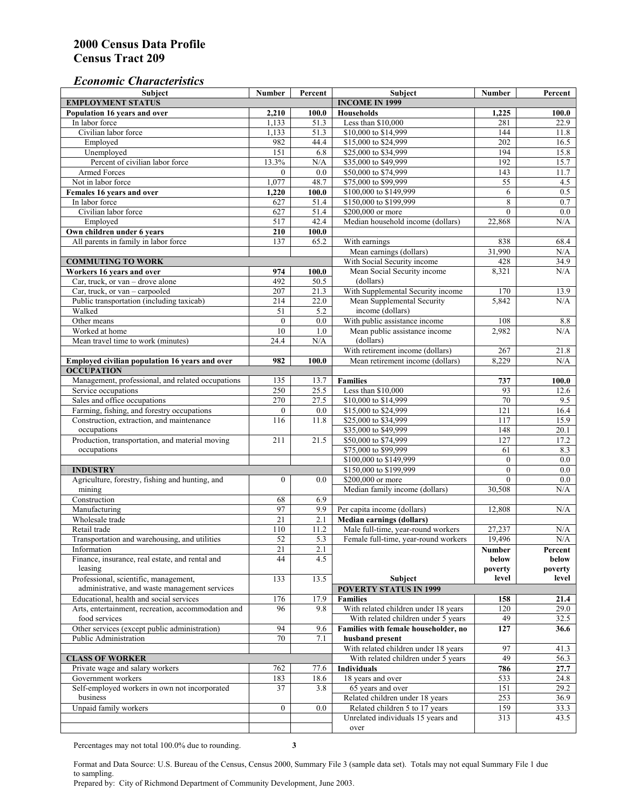#### *Economic Characteristics*

| <b>Subject</b>                                                 | Number           | Percent     | Subject                                                                | Number                   | Percent          |
|----------------------------------------------------------------|------------------|-------------|------------------------------------------------------------------------|--------------------------|------------------|
| <b>EMPLOYMENT STATUS</b>                                       |                  |             | <b>INCOME IN 1999</b>                                                  |                          |                  |
| Population 16 years and over                                   | 2,210            | 100.0       | Households                                                             | 1,225                    | 100.0            |
| In labor force                                                 | 1,133            | 51.3        | Less than \$10,000                                                     | 281                      | 22.9             |
| Civilian labor force                                           | 1,133            | 51.3        | \$10,000 to \$14,999                                                   | 144                      | 11.8             |
| Employed                                                       | 982              | 44.4        | \$15,000 to \$24,999                                                   | 202                      | 16.5             |
| Unemployed                                                     | 151              | 6.8         | \$25,000 to \$34,999                                                   | 194                      | 15.8             |
| Percent of civilian labor force                                | 13.3%            | N/A         | \$35,000 to \$49,999                                                   | 192                      | 15.7             |
| Armed Forces                                                   | $\mathbf{0}$     | 0.0         | \$50,000 to \$74,999                                                   | 143                      | 11.7             |
| Not in labor force                                             | 1,077            | 48.7        | \$75,000 to \$99,999                                                   | 55                       | 4.5              |
| Females 16 years and over                                      | 1,220            | 100.0       | \$100,000 to \$149,999                                                 | 6                        | 0.5              |
| In labor force                                                 | 627              | 51.4        | \$150,000 to \$199,999                                                 | 8                        | 0.7              |
| Civilian labor force                                           | 627              | 51.4        | \$200,000 or more                                                      | $\mathbf{0}$             | 0.0              |
| Employed                                                       | 517              | 42.4        | Median household income (dollars)                                      | 22,868                   | N/A              |
| Own children under 6 years                                     | 210              | 100.0       |                                                                        |                          |                  |
| All parents in family in labor force                           | 137              | 65.2        | With earnings                                                          | 838                      | 68.4             |
|                                                                |                  |             | Mean earnings (dollars)                                                | 31,990                   | N/A              |
| <b>COMMUTING TO WORK</b>                                       |                  |             | With Social Security income                                            | 428                      | 34.9             |
| Workers 16 years and over                                      | 974              | 100.0       | Mean Social Security income                                            | 8,321                    | N/A              |
| Car, truck, or van – drove alone                               | 492              | 50.5        | (dollars)                                                              |                          |                  |
| Car, truck, or van - carpooled                                 | 207              | 21.3        | With Supplemental Security income                                      | 170                      | 13.9             |
| Public transportation (including taxicab)                      | 214              | 22.0        | Mean Supplemental Security                                             | 5,842                    | N/A              |
| Walked                                                         | 51               | 5.2         | income (dollars)                                                       |                          |                  |
| Other means                                                    | $\boldsymbol{0}$ | 0.0         | With public assistance income                                          | 108                      | 8.8              |
| Worked at home                                                 | 10               | 1.0         | Mean public assistance income                                          | 2,982                    | N/A              |
| Mean travel time to work (minutes)                             | 24.4             | N/A         | (dollars)                                                              |                          |                  |
|                                                                |                  |             | With retirement income (dollars)                                       | 267                      | 21.8             |
| Employed civilian population 16 years and over                 | 982              | 100.0       | Mean retirement income (dollars)                                       | 8,229                    | N/A              |
| <b>OCCUPATION</b>                                              |                  |             |                                                                        |                          |                  |
| Management, professional, and related occupations              | 135              | 13.7        | <b>Families</b>                                                        | 737                      | 100.0            |
| Service occupations                                            | 250              | 25.5        | Less than \$10,000                                                     | 93                       | 12.6             |
| Sales and office occupations                                   | 270              | 27.5        | \$10,000 to \$14,999                                                   | 70                       | 9.5              |
| Farming, fishing, and forestry occupations                     | $\mathbf{0}$     | 0.0         | \$15,000 to \$24,999                                                   | $\overline{121}$         | 16.4             |
| Construction, extraction, and maintenance                      | 116              | 11.8        | \$25,000 to \$34,999                                                   | 117                      | 15.9             |
| occupations                                                    |                  |             | \$35,000 to \$49,999                                                   | 148                      | 20.1             |
| Production, transportation, and material moving                | 211              | 21.5        | \$50,000 to \$74,999                                                   | 127                      | 17.2             |
| occupations                                                    |                  |             | \$75,000 to \$99,999                                                   | 61                       | 8.3              |
|                                                                |                  |             | \$100,000 to \$149,999                                                 | $\mathbf{0}$             | 0.0              |
| <b>INDUSTRY</b>                                                |                  |             | \$150,000 to \$199,999                                                 | $\mathbf{0}$<br>$\theta$ | 0.0              |
| Agriculture, forestry, fishing and hunting, and                | $\boldsymbol{0}$ | 0.0         | \$200,000 or more                                                      |                          | 0.0              |
| mining                                                         |                  |             | Median family income (dollars)                                         | 30,508                   | N/A              |
| Construction<br>Manufacturing                                  | 68<br>97         | 6.9<br>9.9  |                                                                        | 12,808                   | N/A              |
| Wholesale trade                                                | $\overline{21}$  | 2.1         | Per capita income (dollars)                                            |                          |                  |
|                                                                |                  |             | <b>Median earnings (dollars)</b><br>Male full-time, year-round workers |                          |                  |
| Retail trade<br>Transportation and warehousing, and utilities  | 110<br>52        | 11.2<br>5.3 | Female full-time, year-round workers                                   | 27,237<br>19,496         | N/A<br>N/A       |
|                                                                |                  |             |                                                                        |                          |                  |
| Information<br>Finance, insurance, real estate, and rental and | 21<br>44         | 2.1<br>4.5  |                                                                        | Number                   | Percent          |
| leasing                                                        |                  |             |                                                                        | below<br>poverty         | below<br>poverty |
| Professional, scientific, management,                          | 133              | 13.5        | Subject                                                                | level                    | level            |
| administrative, and waste management services                  |                  |             | <b>POVERTY STATUS IN 1999</b>                                          |                          |                  |
| Educational, health and social services                        | 176              | 17.9        | <b>Families</b>                                                        | 158                      | 21.4             |
| Arts, entertainment, recreation, accommodation and             | 96               | 9.8         | With related children under 18 years                                   | 120                      | 29.0             |
| food services                                                  |                  |             | With related children under 5 years                                    | 49                       | 32.5             |
| Other services (except public administration)                  | 94               | 9.6         | Families with female householder, no                                   | 127                      | 36.6             |
| Public Administration                                          | 70               | 7.1         | husband present                                                        |                          |                  |
|                                                                |                  |             | With related children under 18 years                                   | 97                       | 41.3             |
| <b>CLASS OF WORKER</b>                                         |                  |             | With related children under 5 years                                    | 49                       | 56.3             |
| Private wage and salary workers                                | 762              | 77.6        | Individuals                                                            | 786                      | 27.7             |
| Government workers                                             | 183              | 18.6        | 18 years and over                                                      | 533                      | 24.8             |
| Self-employed workers in own not incorporated                  | 37               | 3.8         | 65 years and over                                                      | 151                      | 29.2             |
| business                                                       |                  |             | Related children under 18 years                                        | 253                      | 36.9             |
| Unpaid family workers                                          | $\boldsymbol{0}$ | 0.0         | Related children 5 to 17 years                                         | 159                      | 33.3             |
|                                                                |                  |             | Unrelated individuals 15 years and                                     | 313                      | 43.5             |
|                                                                |                  |             | over                                                                   |                          |                  |
|                                                                |                  |             |                                                                        |                          |                  |

Percentages may not total 100.0% due to rounding. **3** 

Format and Data Source: U.S. Bureau of the Census, Census 2000, Summary File 3 (sample data set). Totals may not equal Summary File 1 due to sampling.

Prepared by: City of Richmond Department of Community Development, June 2003.